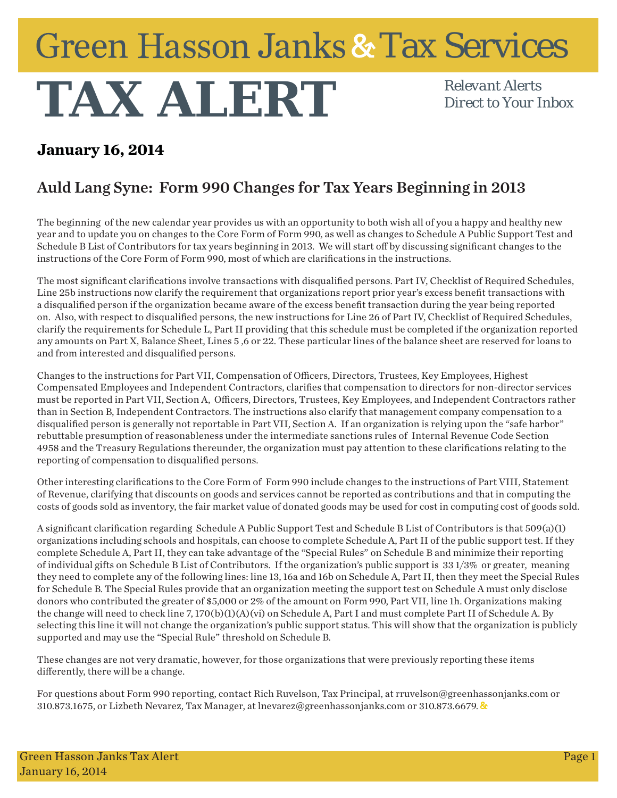## Green Hasson Janks & Tax Services

## **TAX ALERT** *Relevant Alerts*

*Direct to Your Inbox*

## **January 16, 2014**

## Auld Lang Syne: Form 990 Changes for Tax Years Beginning in 2013

The beginning of the new calendar year provides us with an opportunity to both wish all of you a happy and healthy new year and to update you on changes to the Core Form of Form 990, as well as changes to Schedule A Public Support Test and Schedule B List of Contributors for tax years beginning in 2013. We will start off by discussing significant changes to the instructions of the Core Form of Form 990, most of which are clarifications in the instructions.

The most significant clarifications involve transactions with disqualified persons. Part IV, Checklist of Required Schedules, Line 25b instructions now clarify the requirement that organizations report prior year's excess benefit transactions with a disqualified person if the organization became aware of the excess benefit transaction during the year being reported on. Also, with respect to disqualified persons, the new instructions for Line 26 of Part IV, Checklist of Required Schedules, clarify the requirements for Schedule L, Part II providing that this schedule must be completed if the organization reported any amounts on Part X, Balance Sheet, Lines 5 ,6 or 22. These particular lines of the balance sheet are reserved for loans to and from interested and disqualified persons.

Changes to the instructions for Part VII, Compensation of Officers, Directors, Trustees, Key Employees, Highest Compensated Employees and Independent Contractors, clarifies that compensation to directors for non-director services must be reported in Part VII, Section A, Officers, Directors, Trustees, Key Employees, and Independent Contractors rather than in Section B, Independent Contractors. The instructions also clarify that management company compensation to a disqualified person is generally not reportable in Part VII, Section A. If an organization is relying upon the "safe harbor" rebuttable presumption of reasonableness under the intermediate sanctions rules of Internal Revenue Code Section 4958 and the Treasury Regulations thereunder, the organization must pay attention to these clarifications relating to the reporting of compensation to disqualified persons.

Other interesting clarifications to the Core Form of Form 990 include changes to the instructions of Part VIII, Statement of Revenue, clarifying that discounts on goods and services cannot be reported as contributions and that in computing the costs of goods sold as inventory, the fair market value of donated goods may be used for cost in computing cost of goods sold.

A significant clarification regarding Schedule A Public Support Test and Schedule B List of Contributors is that  $509(a)(1)$ organizations including schools and hospitals, can choose to complete Schedule A, Part II of the public support test. If they complete Schedule A, Part II, they can take advantage of the "Special Rules" on Schedule B and minimize their reporting of individual gifts on Schedule B List of Contributors. If the organization's public support is 33 1/3% or greater, meaning they need to complete any of the following lines: line 13, 16a and 16b on Schedule A, Part II, then they meet the Special Rules for Schedule B. The Special Rules provide that an organization meeting the support test on Schedule A must only disclose donors who contributed the greater of \$5,000 or 2% of the amount on Form 990, Part VII, line 1h. Organizations making the change will need to check line 7, 170(b)(1)(A)(vi) on Schedule A, Part I and must complete Part II of Schedule A. By selecting this line it will not change the organization's public support status. This will show that the organization is publicly supported and may use the "Special Rule" threshold on Schedule B.

These changes are not very dramatic, however, for those organizations that were previously reporting these items differently, there will be a change.

For questions about Form 990 reporting, contact Rich Ruvelson, Tax Principal, at rruvelson@greenhassonjanks.com or 310.873.1675, or Lizbeth Nevarez, Tax Manager, at lnevarez@greenhassonjanks.com or 310.873.6679.  $\&$